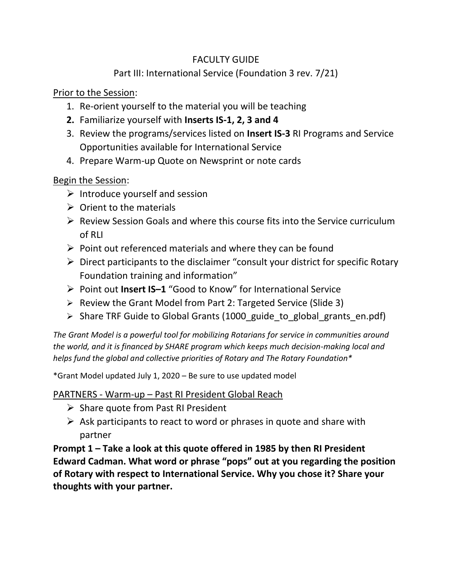### FACULTY GUIDE

## Part III: International Service (Foundation 3 rev. 7/21)

Prior to the Session:

- 1. Re-orient yourself to the material you will be teaching
- **2.** Familiarize yourself with **Inserts IS-1, 2, 3 and 4**
- 3. Review the programs/services listed on **Insert IS-3** RI Programs and Service Opportunities available for International Service
- 4. Prepare Warm-up Quote on Newsprint or note cards

**Begin the Session:** 

- $\triangleright$  Introduce yourself and session
- $\triangleright$  Orient to the materials
- $\triangleright$  Review Session Goals and where this course fits into the Service curriculum of RLI
- $\triangleright$  Point out referenced materials and where they can be found
- $\triangleright$  Direct participants to the disclaimer "consult your district for specific Rotary Foundation training and information"
- ➢ Point out **Insert IS–1** "Good to Know" for International Service
- ➢ Review the Grant Model from Part 2: Targeted Service (Slide 3)
- ➢ Share TRF Guide to Global Grants (1000\_guide\_to\_global\_grants\_en.pdf)

*The Grant Model is a powerful tool for mobilizing Rotarians for service in communities around the world, and it is financed by SHARE program which keeps much decision-making local and helps fund the global and collective priorities of Rotary and The Rotary Foundation\**

\*Grant Model updated July 1, 2020 – Be sure to use updated model

#### PARTNERS - Warm-up – Past RI President Global Reach

- ➢ Share quote from Past RI President
- $\triangleright$  Ask participants to react to word or phrases in quote and share with partner

**Prompt 1 – Take a look at this quote offered in 1985 by then RI President Edward Cadman. What word or phrase "pops" out at you regarding the position of Rotary with respect to International Service. Why you chose it? Share your thoughts with your partner.**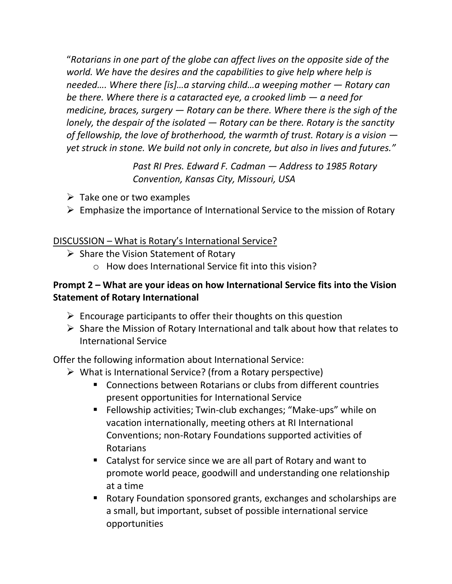"*Rotarians in one part of the globe can affect lives on the opposite side of the world. We have the desires and the capabilities to give help where help is needed…. Where there [is]…a starving child…a weeping mother — Rotary can be there. Where there is a cataracted eye, a crooked limb — a need for medicine, braces, surgery — Rotary can be there. Where there is the sigh of the lonely, the despair of the isolated — Rotary can be there. Rotary is the sanctity of fellowship, the love of brotherhood, the warmth of trust. Rotary is a vision yet struck in stone. We build not only in concrete, but also in lives and futures."*

> *Past RI Pres. Edward F. Cadman — Address to 1985 Rotary Convention, Kansas City, Missouri, USA*

- $\triangleright$  Take one or two examples
- $\triangleright$  Emphasize the importance of International Service to the mission of Rotary

#### DISCUSSION – What is Rotary's International Service?

- $\triangleright$  Share the Vision Statement of Rotary
	- o How does International Service fit into this vision?

### **Prompt 2 – What are your ideas on how International Service fits into the Vision Statement of Rotary International**

- $\triangleright$  Encourage participants to offer their thoughts on this question
- ➢ Share the Mission of Rotary International and talk about how that relates to International Service

Offer the following information about International Service:

- $\triangleright$  What is International Service? (from a Rotary perspective)
	- Connections between Rotarians or clubs from different countries present opportunities for International Service
	- Fellowship activities; Twin-club exchanges; "Make-ups" while on vacation internationally, meeting others at RI International Conventions; non-Rotary Foundations supported activities of Rotarians
	- Catalyst for service since we are all part of Rotary and want to promote world peace, goodwill and understanding one relationship at a time
	- Rotary Foundation sponsored grants, exchanges and scholarships are a small, but important, subset of possible international service opportunities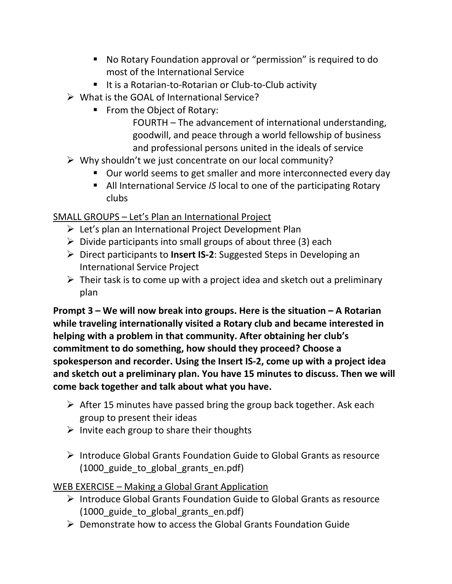- No Rotary Foundation approval or "permission" is required to do most of the International Service
- It is a Rotarian-to-Rotarian or Club-to-Club activity
- $\triangleright$  What is the GOAL of International Service?
	- From the Object of Rotary:

FOURTH – The advancement of international understanding, goodwill, and peace through a world fellowship of business and professional persons united in the ideals of service

- $\triangleright$  Why shouldn't we just concentrate on our local community?
	- Our world seems to get smaller and more interconnected every day
	- All International Service *IS* local to one of the participating Rotary clubs

SMALL GROUPS – Let's Plan an International Project

- ➢ Let's plan an International Project Development Plan
- $\triangleright$  Divide participants into small groups of about three (3) each
- ➢ Direct participants to **Insert IS-2**: Suggested Steps in Developing an International Service Project
- $\triangleright$  Their task is to come up with a project idea and sketch out a preliminary plan

**Prompt 3 – We will now break into groups. Here is the situation – A Rotarian while traveling internationally visited a Rotary club and became interested in helping with a problem in that community. After obtaining her club's commitment to do something, how should they proceed? Choose a spokesperson and recorder. Using the Insert IS-2, come up with a project idea and sketch out a preliminary plan. You have 15 minutes to discuss. Then we will come back together and talk about what you have.** 

- $\triangleright$  After 15 minutes have passed bring the group back together. Ask each group to present their ideas
- $\triangleright$  Invite each group to share their thoughts
- ➢ Introduce Global Grants Foundation Guide to Global Grants as resource (1000 guide to global grants en.pdf)

WEB EXERCISE – Making a Global Grant Application

- ➢ Introduce Global Grants Foundation Guide to Global Grants as resource (1000 guide to global grants en.pdf)
- $\triangleright$  Demonstrate how to access the Global Grants Foundation Guide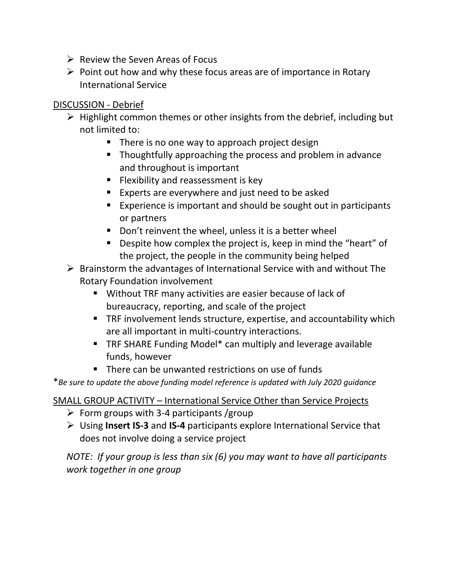- $\triangleright$  Review the Seven Areas of Focus
- $\triangleright$  Point out how and why these focus areas are of importance in Rotary International Service

### DISCUSSION - Debrief

- $\triangleright$  Highlight common themes or other insights from the debrief, including but not limited to:
	- There is no one way to approach project design
	- Thoughtfully approaching the process and problem in advance and throughout is important
	- **EXIBILIEY 5 Flexibility and reassessment is key**
	- Experts are everywhere and just need to be asked
	- Experience is important and should be sought out in participants or partners
	- Don't reinvent the wheel, unless it is a better wheel
	- Despite how complex the project is, keep in mind the "heart" of the project, the people in the community being helped
- ➢ Brainstorm the advantages of International Service with and without The Rotary Foundation involvement
	- Without TRF many activities are easier because of lack of bureaucracy, reporting, and scale of the project
	- TRF involvement lends structure, expertise, and accountability which are all important in multi-country interactions.
	- TRF SHARE Funding Model\* can multiply and leverage available funds, however
	- There can be unwanted restrictions on use of funds

\**Be sure to update the above funding model reference is updated with July 2020 guidance*

### SMALL GROUP ACTIVITY – International Service Other than Service Projects

- $\triangleright$  Form groups with 3-4 participants /group
- ➢ Using **Insert IS-3** and **IS-4** participants explore International Service that does not involve doing a service project

*NOTE: If your group is less than six (6) you may want to have all participants work together in one group*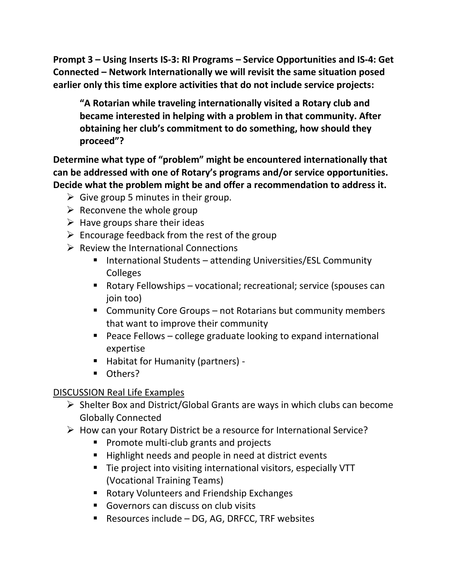**Prompt 3 – Using Inserts IS-3: RI Programs – Service Opportunities and IS-4: Get Connected – Network Internationally we will revisit the same situation posed earlier only this time explore activities that do not include service projects:**

**"A Rotarian while traveling internationally visited a Rotary club and became interested in helping with a problem in that community. After obtaining her club's commitment to do something, how should they proceed"?**

**Determine what type of "problem" might be encountered internationally that can be addressed with one of Rotary's programs and/or service opportunities. Decide what the problem might be and offer a recommendation to address it.**

- $\triangleright$  Give group 5 minutes in their group.
- $\triangleright$  Reconvene the whole group
- $\triangleright$  Have groups share their ideas
- $\triangleright$  Encourage feedback from the rest of the group
- $\triangleright$  Review the International Connections
	- International Students attending Universities/ESL Community Colleges
	- Rotary Fellowships vocational; recreational; service (spouses can join too)
	- Community Core Groups not Rotarians but community members that want to improve their community
	- Peace Fellows college graduate looking to expand international expertise
	- Habitat for Humanity (partners) -
	- Others?

# DISCUSSION Real Life Examples

- ➢ Shelter Box and District/Global Grants are ways in which clubs can become Globally Connected
- ➢ How can your Rotary District be a resource for International Service?
	- Promote multi-club grants and projects
	- Highlight needs and people in need at district events
	- Tie project into visiting international visitors, especially VTT (Vocational Training Teams)
	- Rotary Volunteers and Friendship Exchanges
	- Governors can discuss on club visits
	- Resources include DG, AG, DRFCC, TRF websites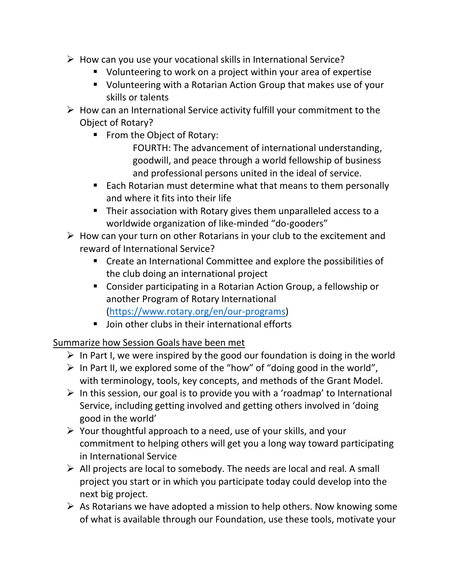- $\triangleright$  How can you use your vocational skills in International Service?
	- Volunteering to work on a project within your area of expertise
	- Volunteering with a Rotarian Action Group that makes use of your skills or talents
- $\triangleright$  How can an International Service activity fulfill your commitment to the Object of Rotary?
	- From the Object of Rotary:

FOURTH: The advancement of international understanding, goodwill, and peace through a world fellowship of business and professional persons united in the ideal of service.

- Each Rotarian must determine what that means to them personally and where it fits into their life
- Their association with Rotary gives them unparalleled access to a worldwide organization of like-minded "do-gooders"
- $\triangleright$  How can your turn on other Rotarians in your club to the excitement and reward of International Service?
	- Create an International Committee and explore the possibilities of the club doing an international project
	- Consider participating in a Rotarian Action Group, a fellowship or another Program of Rotary International [\(https://www.rotary.org/en/our-programs\)](https://www.rotary.org/en/our-programs)
	- Join other clubs in their international efforts

# Summarize how Session Goals have been met

- $\triangleright$  In Part I, we were inspired by the good our foundation is doing in the world
- $\triangleright$  In Part II, we explored some of the "how" of "doing good in the world", with terminology, tools, key concepts, and methods of the Grant Model.
- $\triangleright$  In this session, our goal is to provide you with a 'roadmap' to International Service, including getting involved and getting others involved in 'doing good in the world'
- $\triangleright$  Your thoughtful approach to a need, use of your skills, and your commitment to helping others will get you a long way toward participating in International Service
- ➢ All projects are local to somebody. The needs are local and real. A small project you start or in which you participate today could develop into the next big project.
- $\triangleright$  As Rotarians we have adopted a mission to help others. Now knowing some of what is available through our Foundation, use these tools, motivate your